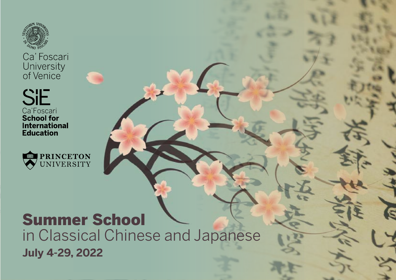

Ca' Foscari University<br>of Venice

**SIE** Ca'Foscari<br>School for<br>International **Education** 



# Summer School in Classical Chinese and Japanese

**July 4-29, 2022**